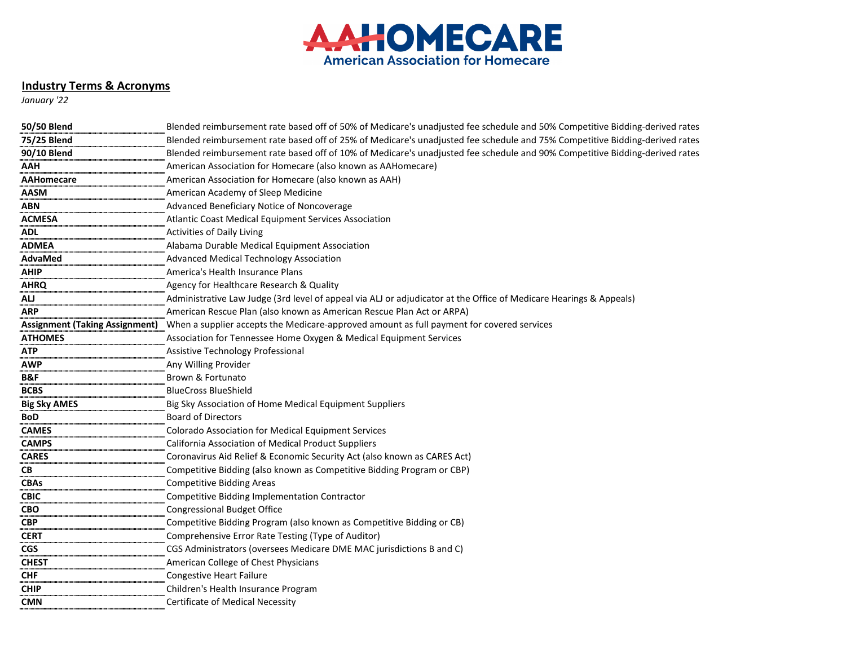

## **Industry Terms & Acronyms**

*January '22*

| <b>50/50 Blend</b>                    | Blended reimbursement rate based off of 50% of Medicare's unadjusted fee schedule and 50% Competitive Bidding-derived rates |
|---------------------------------------|-----------------------------------------------------------------------------------------------------------------------------|
| 75/25 Blend                           | Blended reimbursement rate based off of 25% of Medicare's unadjusted fee schedule and 75% Competitive Bidding-derived rates |
| 90/10 Blend                           | Blended reimbursement rate based off of 10% of Medicare's unadjusted fee schedule and 90% Competitive Bidding-derived rates |
| <b>AAH</b>                            | American Association for Homecare (also known as AAHomecare)                                                                |
| <b>AAHomecare</b>                     | American Association for Homecare (also known as AAH)                                                                       |
| <b>AASM</b>                           | American Academy of Sleep Medicine                                                                                          |
| <b>ABN</b>                            | Advanced Beneficiary Notice of Noncoverage                                                                                  |
| <b>ACMESA</b>                         | Atlantic Coast Medical Equipment Services Association                                                                       |
| <b>ADL</b>                            | <b>Activities of Daily Living</b>                                                                                           |
| <b>ADMEA</b>                          | Alabama Durable Medical Equipment Association                                                                               |
| AdvaMed                               | <b>Advanced Medical Technology Association</b>                                                                              |
| <b>AHIP</b>                           | America's Health Insurance Plans                                                                                            |
| <b>AHRQ</b>                           | Agency for Healthcare Research & Quality                                                                                    |
| AU                                    | Administrative Law Judge (3rd level of appeal via ALJ or adjudicator at the Office of Medicare Hearings & Appeals)          |
| <b>ARP</b>                            | American Rescue Plan (also known as American Rescue Plan Act or ARPA)                                                       |
| <b>Assignment (Taking Assignment)</b> | When a supplier accepts the Medicare-approved amount as full payment for covered services                                   |
| <b>ATHOMES</b>                        | Association for Tennessee Home Oxygen & Medical Equipment Services                                                          |
| <b>ATP</b>                            | Assistive Technology Professional                                                                                           |
| <b>AWP</b>                            | Any Willing Provider                                                                                                        |
| B&F                                   | Brown & Fortunato                                                                                                           |
| <b>BCBS</b>                           | <b>BlueCross BlueShield</b>                                                                                                 |
| <b>Big Sky AMES</b>                   | Big Sky Association of Home Medical Equipment Suppliers                                                                     |
| <b>BoD</b>                            | <b>Board of Directors</b>                                                                                                   |
| <b>CAMES</b>                          | <b>Colorado Association for Medical Equipment Services</b>                                                                  |
| <b>CAMPS</b>                          | California Association of Medical Product Suppliers                                                                         |
| <b>CARES</b>                          | Coronavirus Aid Relief & Economic Security Act (also known as CARES Act)                                                    |
| CB                                    | Competitive Bidding (also known as Competitive Bidding Program or CBP)                                                      |
| <b>CBAs</b>                           | <b>Competitive Bidding Areas</b>                                                                                            |
| <b>CBIC</b>                           | Competitive Bidding Implementation Contractor                                                                               |
| <b>CBO</b>                            | <b>Congressional Budget Office</b>                                                                                          |
| <b>CBP</b>                            | Competitive Bidding Program (also known as Competitive Bidding or CB)                                                       |
| <b>CERT</b>                           | Comprehensive Error Rate Testing (Type of Auditor)                                                                          |
| <b>CGS</b>                            | CGS Administrators (oversees Medicare DME MAC jurisdictions B and C)                                                        |
| <b>CHEST</b>                          | American College of Chest Physicians                                                                                        |
| <b>CHF</b>                            | <b>Congestive Heart Failure</b>                                                                                             |
| <b>CHIP</b>                           | Children's Health Insurance Program                                                                                         |
| <b>CMN</b>                            | <b>Certificate of Medical Necessity</b>                                                                                     |
|                                       |                                                                                                                             |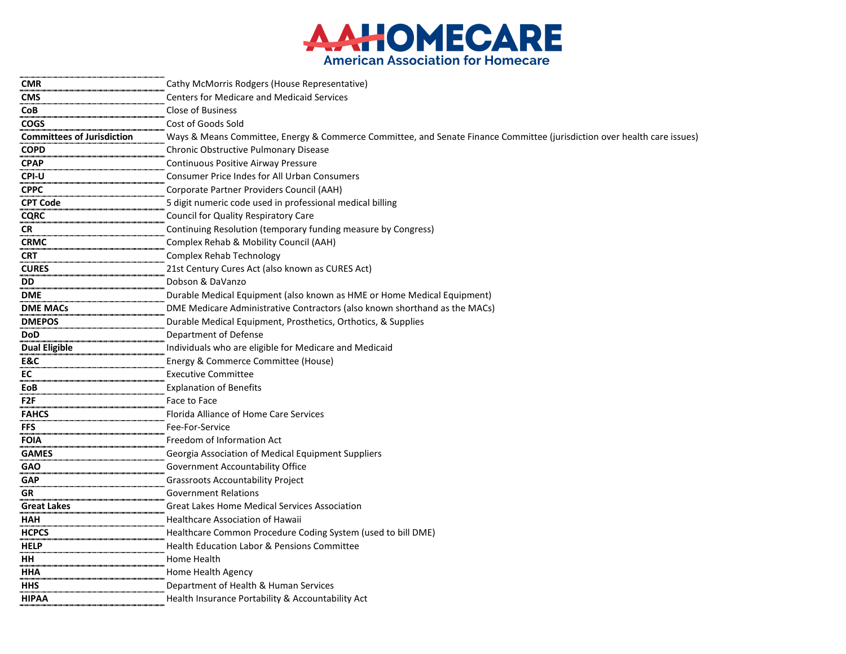

| <b>CMR</b>                        | Cathy McMorris Rodgers (House Representative)                                                                            |
|-----------------------------------|--------------------------------------------------------------------------------------------------------------------------|
| <b>CMS</b>                        | <b>Centers for Medicare and Medicaid Services</b>                                                                        |
| <b>CoB</b>                        | <b>Close of Business</b>                                                                                                 |
| <b>COGS</b>                       | Cost of Goods Sold                                                                                                       |
| <b>Committees of Jurisdiction</b> | Ways & Means Committee, Energy & Commerce Committee, and Senate Finance Committee (jurisdiction over health care issues) |
| <b>COPD</b>                       | Chronic Obstructive Pulmonary Disease                                                                                    |
| <b>CPAP</b>                       | Continuous Positive Airway Pressure                                                                                      |
| <b>CPI-U</b>                      | <b>Consumer Price Indes for All Urban Consumers</b>                                                                      |
| <b>CPPC</b>                       | Corporate Partner Providers Council (AAH)                                                                                |
| <b>CPT Code</b>                   | 5 digit numeric code used in professional medical billing                                                                |
| <b>CQRC</b>                       | <b>Council for Quality Respiratory Care</b>                                                                              |
| <b>CR</b>                         | Continuing Resolution (temporary funding measure by Congress)                                                            |
| <b>CRMC</b>                       | Complex Rehab & Mobility Council (AAH)                                                                                   |
| <b>CRT</b>                        | <b>Complex Rehab Technology</b>                                                                                          |
| <b>CURES</b>                      | 21st Century Cures Act (also known as CURES Act)                                                                         |
| <b>DD</b>                         | Dobson & DaVanzo                                                                                                         |
| <b>DME</b>                        | Durable Medical Equipment (also known as HME or Home Medical Equipment)                                                  |
| <b>DME MACs</b>                   | DME Medicare Administrative Contractors (also known shorthand as the MACs)                                               |
| <b>DMEPOS</b>                     | Durable Medical Equipment, Prosthetics, Orthotics, & Supplies                                                            |
| <b>DoD</b>                        | Department of Defense                                                                                                    |
| <b>Dual Eligible</b>              | Individuals who are eligible for Medicare and Medicaid                                                                   |
| E&C                               | Energy & Commerce Committee (House)                                                                                      |
| EC                                | <b>Executive Committee</b>                                                                                               |
| EoB                               | <b>Explanation of Benefits</b>                                                                                           |
| F <sub>2F</sub>                   | Face to Face                                                                                                             |
| <b>FAHCS</b>                      | Florida Alliance of Home Care Services                                                                                   |
| <b>FFS</b>                        | Fee-For-Service                                                                                                          |
| <b>FOIA</b>                       | Freedom of Information Act                                                                                               |
| <b>GAMES</b>                      | Georgia Association of Medical Equipment Suppliers                                                                       |
| <b>GAO</b>                        | Government Accountability Office                                                                                         |
| <b>GAP</b>                        | <b>Grassroots Accountability Project</b>                                                                                 |
| <b>GR</b>                         | <b>Government Relations</b>                                                                                              |
| <b>Great Lakes</b>                | <b>Great Lakes Home Medical Services Association</b>                                                                     |
| <b>HAH</b>                        | <b>Healthcare Association of Hawaii</b>                                                                                  |
| <b>HCPCS</b>                      | Healthcare Common Procedure Coding System (used to bill DME)                                                             |
| <b>HELP</b>                       | Health Education Labor & Pensions Committee                                                                              |
| HH                                | Home Health                                                                                                              |
| <b>HHA</b>                        | Home Health Agency                                                                                                       |
| <b>HHS</b>                        | Department of Health & Human Services                                                                                    |
| <b>HIPAA</b>                      | Health Insurance Portability & Accountability Act                                                                        |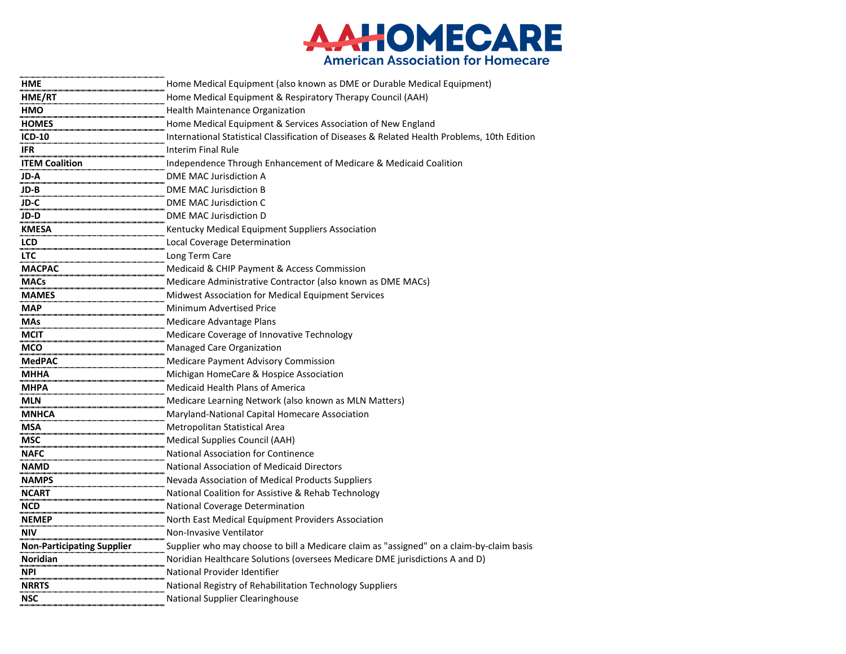

| <b>HME</b>                        | Home Medical Equipment (also known as DME or Durable Medical Equipment)                      |
|-----------------------------------|----------------------------------------------------------------------------------------------|
| HME/RT                            | Home Medical Equipment & Respiratory Therapy Council (AAH)                                   |
| <b>HMO</b>                        | <b>Health Maintenance Organization</b>                                                       |
| <b>HOMES</b>                      | Home Medical Equipment & Services Association of New England                                 |
| <b>ICD-10</b>                     | International Statistical Classification of Diseases & Related Health Problems, 10th Edition |
| <b>IFR</b>                        | <b>Interim Final Rule</b>                                                                    |
| <b>ITEM Coalition</b>             | Independence Through Enhancement of Medicare & Medicaid Coalition                            |
| JD-A                              | <b>DME MAC Jurisdiction A</b>                                                                |
| JD-B                              | <b>DME MAC Jurisdiction B</b>                                                                |
| JD-C                              | DME MAC Jurisdiction C                                                                       |
| JD-D                              | <b>DME MAC Jurisdiction D</b>                                                                |
| <b>KMESA</b>                      | Kentucky Medical Equipment Suppliers Association                                             |
| <b>LCD</b>                        | Local Coverage Determination                                                                 |
| <b>LTC</b>                        | Long Term Care                                                                               |
| <b>MACPAC</b>                     | Medicaid & CHIP Payment & Access Commission                                                  |
| <b>MACs</b>                       | Medicare Administrative Contractor (also known as DME MACs)                                  |
| <b>MAMES</b>                      | Midwest Association for Medical Equipment Services                                           |
| <b>MAP</b>                        | Minimum Advertised Price                                                                     |
| <b>MAs</b>                        | Medicare Advantage Plans                                                                     |
| <b>MCIT</b>                       | Medicare Coverage of Innovative Technology                                                   |
| <b>MCO</b>                        | <b>Managed Care Organization</b>                                                             |
| <b>MedPAC</b>                     | <b>Medicare Payment Advisory Commission</b>                                                  |
| <b>MHHA</b>                       | Michigan HomeCare & Hospice Association                                                      |
| <b>MHPA</b>                       | <b>Medicaid Health Plans of America</b>                                                      |
| <b>MLN</b>                        | Medicare Learning Network (also known as MLN Matters)                                        |
| <b>MNHCA</b>                      | Maryland-National Capital Homecare Association                                               |
| <b>MSA</b>                        | Metropolitan Statistical Area                                                                |
| <b>MSC</b>                        | Medical Supplies Council (AAH)                                                               |
| <b>NAFC</b>                       | National Association for Continence                                                          |
| <b>NAMD</b>                       | <b>National Association of Medicaid Directors</b>                                            |
| <b>NAMPS</b>                      | Nevada Association of Medical Products Suppliers                                             |
| <b>NCART</b>                      | National Coalition for Assistive & Rehab Technology                                          |
| <b>NCD</b>                        | National Coverage Determination                                                              |
| <b>NEMEP</b>                      | North East Medical Equipment Providers Association                                           |
| <b>NIV</b>                        | Non-Invasive Ventilator                                                                      |
| <b>Non-Participating Supplier</b> | Supplier who may choose to bill a Medicare claim as "assigned" on a claim-by-claim basis     |
| Noridian                          | Noridian Healthcare Solutions (oversees Medicare DME jurisdictions A and D)                  |
| <b>NPI</b>                        | National Provider Identifier                                                                 |
| <b>NRRTS</b>                      | National Registry of Rehabilitation Technology Suppliers                                     |
| <b>NSC</b>                        | National Supplier Clearinghouse                                                              |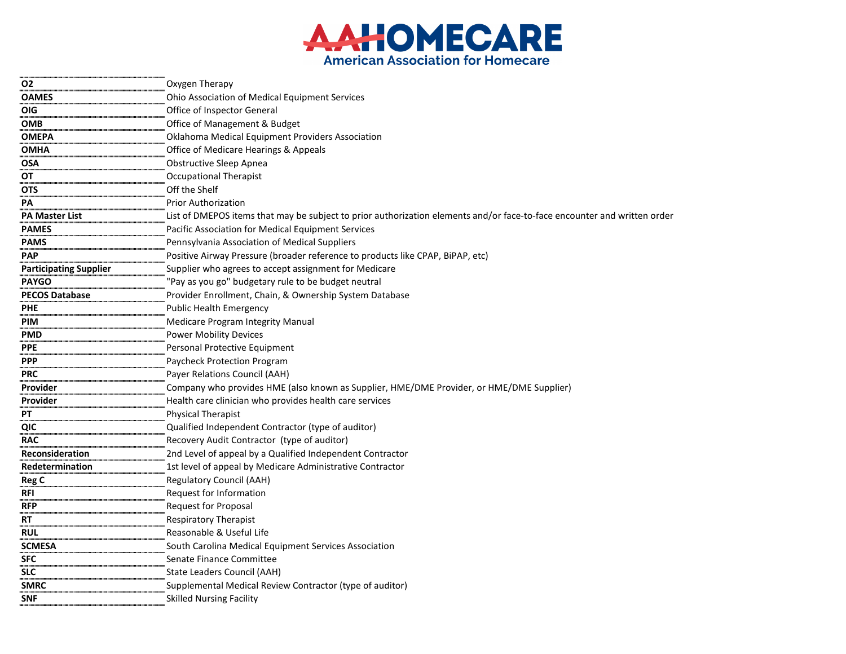

| <b>O2</b>                     | Oxygen Therapy                                                                                                           |
|-------------------------------|--------------------------------------------------------------------------------------------------------------------------|
| <b>OAMES</b>                  | Ohio Association of Medical Equipment Services                                                                           |
| <b>OIG</b>                    | Office of Inspector General                                                                                              |
| <b>OMB</b>                    | Office of Management & Budget                                                                                            |
| <b>OMEPA</b>                  | Oklahoma Medical Equipment Providers Association                                                                         |
| <b>OMHA</b>                   | Office of Medicare Hearings & Appeals                                                                                    |
| <b>OSA</b>                    | <b>Obstructive Sleep Apnea</b>                                                                                           |
| OT                            | <b>Occupational Therapist</b>                                                                                            |
| <b>OTS</b>                    | Off the Shelf                                                                                                            |
| PA                            | <b>Prior Authorization</b>                                                                                               |
| <b>PA Master List</b>         | List of DMEPOS items that may be subject to prior authorization elements and/or face-to-face encounter and written order |
| <b>PAMES</b>                  | Pacific Association for Medical Equipment Services                                                                       |
| <b>PAMS</b>                   | Pennsylvania Association of Medical Suppliers                                                                            |
| <b>PAP</b>                    | Positive Airway Pressure (broader reference to products like CPAP, BiPAP, etc)                                           |
| <b>Participating Supplier</b> | Supplier who agrees to accept assignment for Medicare                                                                    |
| <b>PAYGO</b>                  | "Pay as you go" budgetary rule to be budget neutral                                                                      |
| <b>PECOS Database</b>         | Provider Enrollment, Chain, & Ownership System Database                                                                  |
| <b>PHE</b>                    | <b>Public Health Emergency</b>                                                                                           |
| <b>PIM</b>                    | <b>Medicare Program Integrity Manual</b>                                                                                 |
| <b>PMD</b>                    | <b>Power Mobility Devices</b>                                                                                            |
| <b>PPE</b>                    | Personal Protective Equipment                                                                                            |
| <b>PPP</b>                    | Paycheck Protection Program                                                                                              |
| <b>PRC</b>                    | Payer Relations Council (AAH)                                                                                            |
| Provider                      | Company who provides HME (also known as Supplier, HME/DME Provider, or HME/DME Supplier)                                 |
| Provider                      | Health care clinician who provides health care services                                                                  |
| PT                            | <b>Physical Therapist</b>                                                                                                |
| QIC                           | Qualified Independent Contractor (type of auditor)                                                                       |
| <b>RAC</b>                    | Recovery Audit Contractor (type of auditor)                                                                              |
| Reconsideration               | 2nd Level of appeal by a Qualified Independent Contractor                                                                |
| Redetermination               | 1st level of appeal by Medicare Administrative Contractor                                                                |
| <b>Reg C</b>                  | <b>Regulatory Council (AAH)</b>                                                                                          |
| <b>RFI</b>                    | Request for Information                                                                                                  |
| <b>RFP</b>                    | <b>Request for Proposal</b>                                                                                              |
| <b>RT</b>                     | <b>Respiratory Therapist</b>                                                                                             |
| <b>RUL</b>                    | Reasonable & Useful Life                                                                                                 |
| <b>SCMESA</b>                 | South Carolina Medical Equipment Services Association                                                                    |
| <b>SFC</b>                    | Senate Finance Committee                                                                                                 |
| <b>SLC</b>                    | State Leaders Council (AAH)                                                                                              |
| <b>SMRC</b>                   | Supplemental Medical Review Contractor (type of auditor)                                                                 |
| <b>SNF</b>                    | <b>Skilled Nursing Facility</b>                                                                                          |